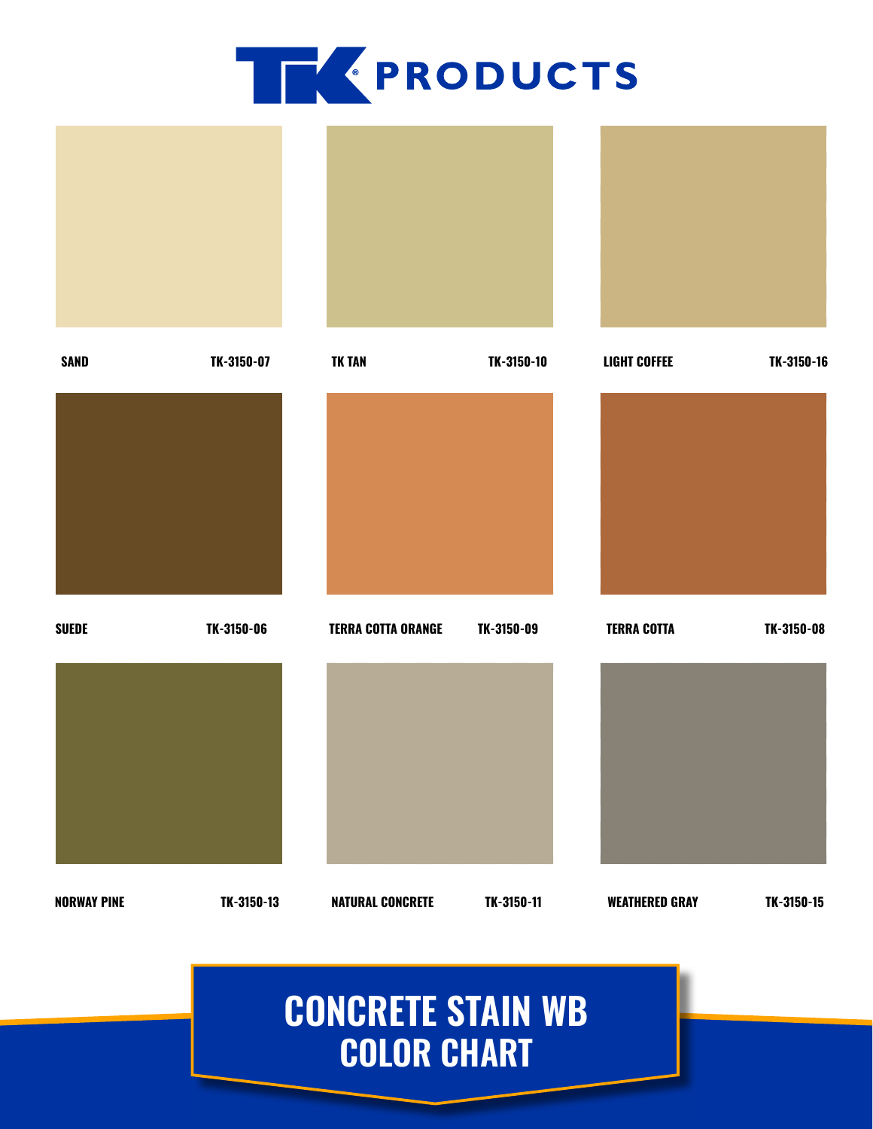



## **CONCRETE STAIN WB COLOR CHART**